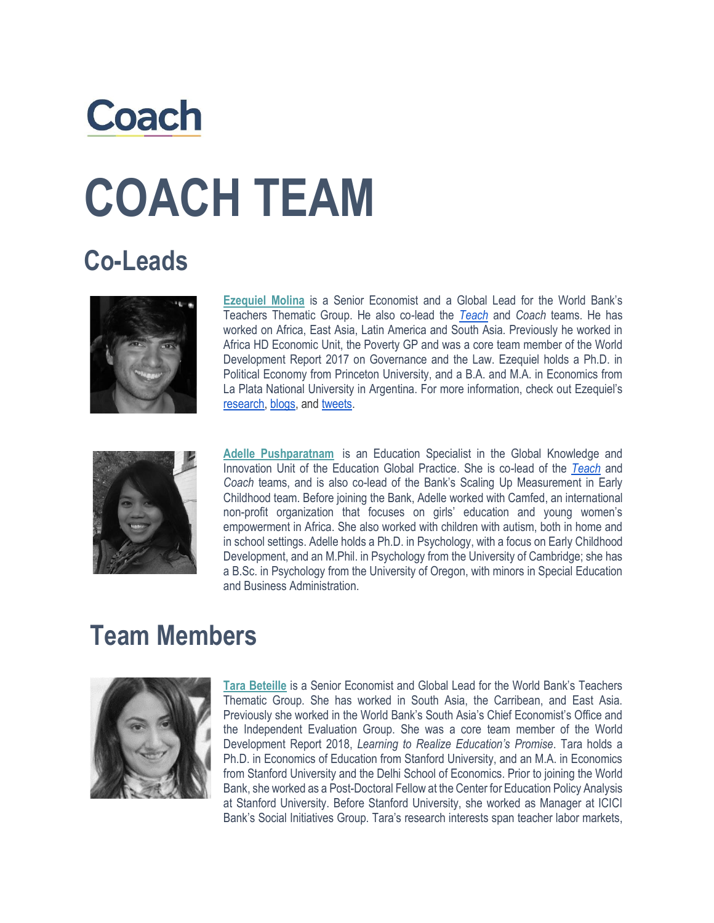## **Coach COACH TEAM**

## **Co-Leads**



**Ezequiel Molina** is a Senior Economist and a Global Lead for the World Bank's Teachers Thematic Group. He also co-lead the *[Teach](https://www.worldbank.org/en/topic/education/brief/teach-helping-countries-track-and-improve-teaching-quality)* and *Coach* teams. He has worked on Africa, East Asia, Latin America and South Asia. Previously he worked in Africa HD Economic Unit, the Poverty GP and was a core team member of the World Development Report 2017 on Governance and the Law. Ezequiel holds a Ph.D. in Political Economy from Princeton University, and a B.A. and M.A. in Economics from La Plata National University in Argentina. For more information, check out Ezequiel's [research,](https://sites.google.com/site/ezequielmolina/) [blogs,](https://blogs.worldbank.org/team/ezequiel-molina) and [tweets.](https://twitter.com/intent/follow?screen_name=Eze_TEACH)



**Adelle Pushparatnam** is an Education Specialist in the Global Knowledge and Innovation Unit of the Education Global Practice. She is co-lead of the *[Teach](https://www.worldbank.org/en/topic/education/brief/teach-helping-countries-track-and-improve-teaching-quality)* and *Coach* teams, and is also co-lead of the Bank's Scaling Up Measurement in Early Childhood team. Before joining the Bank, Adelle worked with Camfed, an international non-profit organization that focuses on girls' education and young women's empowerment in Africa. She also worked with children with autism, both in home and in school settings. Adelle holds a Ph.D. in Psychology, with a focus on Early Childhood Development, and an M.Phil. in Psychology from the University of Cambridge; she has a B.Sc. in Psychology from the University of Oregon, with minors in Special Education and Business Administration.

## **Team Members**



**Tara Beteille** is a Senior Economist and Global Lead for the World Bank's Teachers Thematic Group. She has worked in South Asia, the Carribean, and East Asia. Previously she worked in the World Bank's South Asia's Chief Economist's Office and the Independent Evaluation Group. She was a core team member of the World Development Report 2018, *Learning to Realize Education's Promise*. Tara holds a Ph.D. in Economics of Education from Stanford University, and an M.A. in Economics from Stanford University and the Delhi School of Economics. Prior to joining the World Bank, she worked as a Post-Doctoral Fellow at the Center for Education Policy Analysis at Stanford University. Before Stanford University, she worked as Manager at ICICI Bank's Social Initiatives Group. Tara's research interests span teacher labor markets,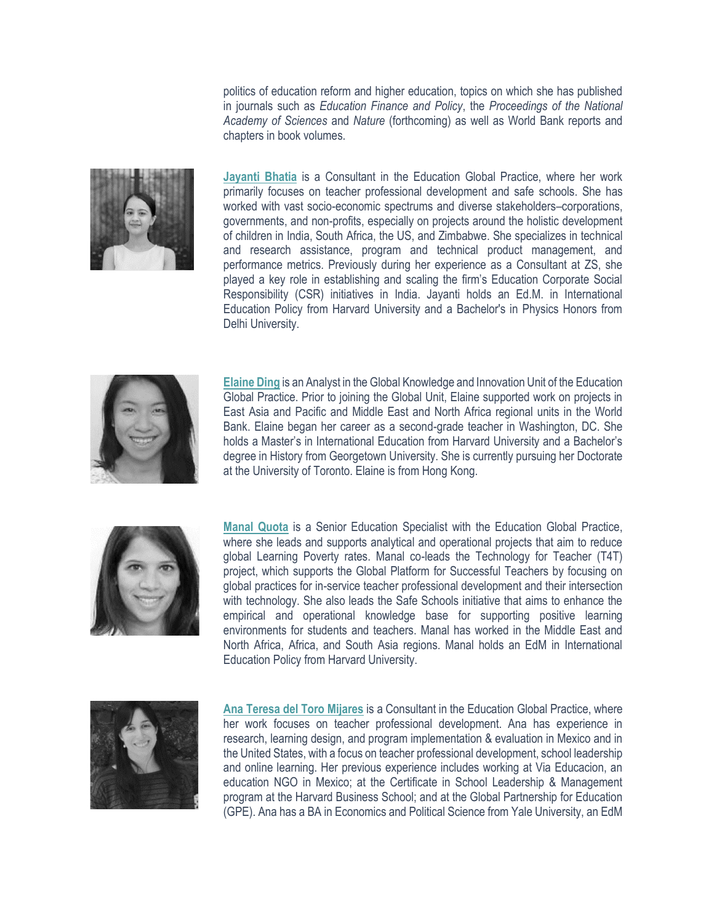politics of education reform and higher education, topics on which she has published in journals such as *Education Finance and Policy*, the *Proceedings of the National Academy of Sciences* and *Nature* (forthcoming) as well as World Bank reports and chapters in book volumes.



**Jayanti Bhatia** is a Consultant in the Education Global Practice, where her work primarily focuses on teacher professional development and safe schools. She has worked with vast socio-economic spectrums and diverse stakeholders–corporations, governments, and non-profits, especially on projects around the holistic development of children in India, South Africa, the US, and Zimbabwe. She specializes in technical and research assistance, program and technical product management, and performance metrics. Previously during her experience as a Consultant at ZS, she played a key role in establishing and scaling the firm's Education Corporate Social Responsibility (CSR) initiatives in India. Jayanti holds an Ed.M. in International Education Policy from Harvard University and a Bachelor's in Physics Honors from Delhi University.



**Elaine Ding** is an Analyst in the Global Knowledge and Innovation Unit of the Education Global Practice. Prior to joining the Global Unit, Elaine supported work on projects in East Asia and Pacific and Middle East and North Africa regional units in the World Bank. Elaine began her career as a second-grade teacher in Washington, DC. She holds a Master's in International Education from Harvard University and a Bachelor's degree in History from Georgetown University. She is currently pursuing her Doctorate at the University of Toronto. Elaine is from Hong Kong.



**Manal Quota** is a Senior Education Specialist with the Education Global Practice, where she leads and supports analytical and operational projects that aim to reduce global Learning Poverty rates. Manal co-leads the Technology for Teacher (T4T) project, which supports the Global Platform for Successful Teachers by focusing on global practices for in-service teacher professional development and their intersection with technology. She also leads the Safe Schools initiative that aims to enhance the empirical and operational knowledge base for supporting positive learning environments for students and teachers. Manal has worked in the Middle East and North Africa, Africa, and South Asia regions. Manal holds an EdM in International Education Policy from Harvard University.



**Ana Teresa del Toro Mijares** is a Consultant in the Education Global Practice, where her work focuses on teacher professional development. Ana has experience in research, learning design, and program implementation & evaluation in Mexico and in the United States, with a focus on teacher professional development, school leadership and online learning. Her previous experience includes working at Via Educacion, an education NGO in Mexico; at the Certificate in School Leadership & Management program at the Harvard Business School; and at the Global Partnership for Education (GPE). Ana has a BA in Economics and Political Science from Yale University, an EdM